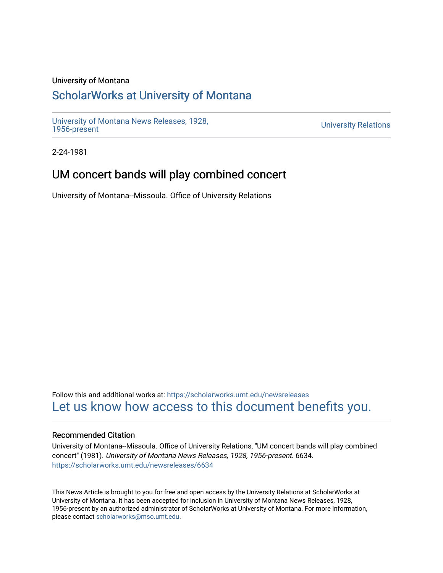#### University of Montana

# [ScholarWorks at University of Montana](https://scholarworks.umt.edu/)

[University of Montana News Releases, 1928,](https://scholarworks.umt.edu/newsreleases) 

**University Relations** 

2-24-1981

# UM concert bands will play combined concert

University of Montana--Missoula. Office of University Relations

Follow this and additional works at: [https://scholarworks.umt.edu/newsreleases](https://scholarworks.umt.edu/newsreleases?utm_source=scholarworks.umt.edu%2Fnewsreleases%2F6634&utm_medium=PDF&utm_campaign=PDFCoverPages) [Let us know how access to this document benefits you.](https://goo.gl/forms/s2rGfXOLzz71qgsB2) 

#### Recommended Citation

University of Montana--Missoula. Office of University Relations, "UM concert bands will play combined concert" (1981). University of Montana News Releases, 1928, 1956-present. 6634. [https://scholarworks.umt.edu/newsreleases/6634](https://scholarworks.umt.edu/newsreleases/6634?utm_source=scholarworks.umt.edu%2Fnewsreleases%2F6634&utm_medium=PDF&utm_campaign=PDFCoverPages) 

This News Article is brought to you for free and open access by the University Relations at ScholarWorks at University of Montana. It has been accepted for inclusion in University of Montana News Releases, 1928, 1956-present by an authorized administrator of ScholarWorks at University of Montana. For more information, please contact [scholarworks@mso.umt.edu.](mailto:scholarworks@mso.umt.edu)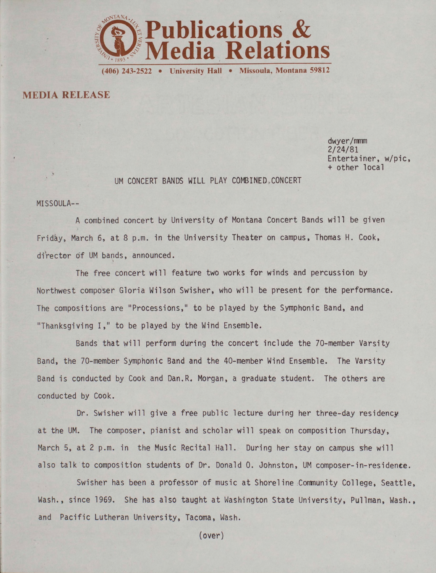

MEDIA RELEASE

dwyer/mmm 2/24/81 tertainer, w/pic, other local

### UM CONCERT BANDS WILL PLAY COMBINED. CONCERT

MISSOULA—

A combined concert by University of Montana Concert Bands will be given Friday, March 6, at 8 p.m. in the University Theater on campus, Thomas H. Cook, director of UM bands, announced.

The free concert will feature two works for winds and percussion by Northwest composer Gloria Wilson Swisher, who will be present for the performance. The compositions are "Processions," to be played by the Symphonic Band, and "Thanksgiving I," to be played by the Wind Ensemble.

Bands that will perform during the concert include the 70-member Varsity Band, the 70-member Symphonic Band and the 40-member Wind Ensemble. The Varsity Band is conducted by Cook and Dan.R. Morgan, a graduate student. The others are conducted by Cook.

Dr. Swisher will give a free public lecture during her three-day residency at the UM. The composer, pianist and scholar will speak on composition Thursday, March 5, at 2 p.m. in the Music Recital Hall. During her stay on campus she will also talk to composition students of Dr. Donald O. Johnston, UM composer-in-residence.

Swisher has been a professor of music at Shoreline Community College, Seattle Wash., since 1969. She has also taught at Washington State University, Pullman, Wash, and Pacific Lutheran University, Tacoma, Wash.